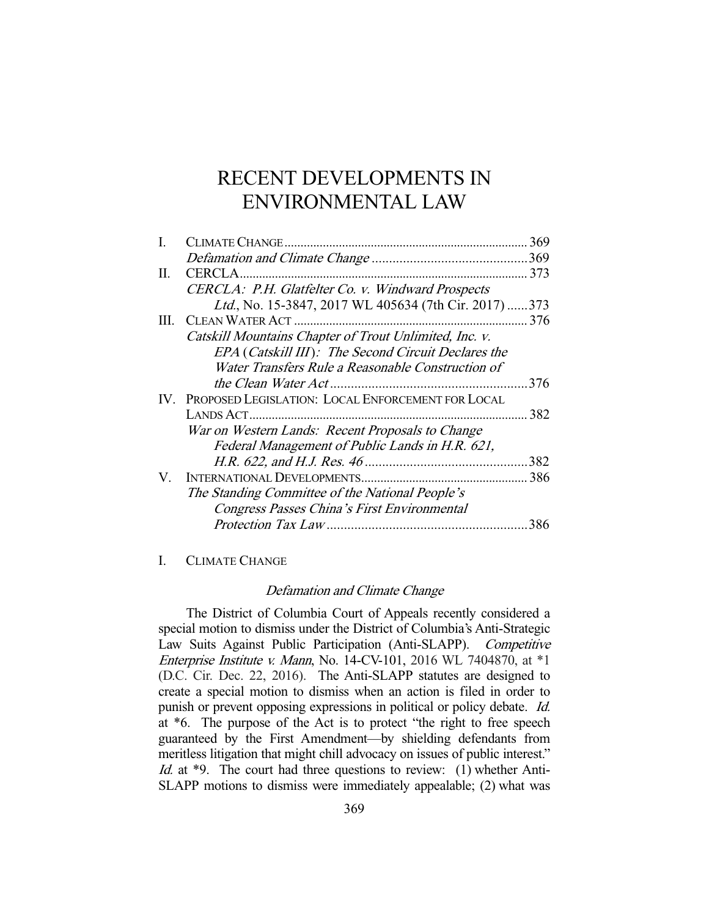# RECENT DEVELOPMENTS IN ENVIRONMENTAL LAW

|                                                        | 369 |
|--------------------------------------------------------|-----|
|                                                        |     |
|                                                        | 373 |
| CERCLA: P.H. Glatfelter Co. v. Windward Prospects      |     |
| Ltd., No. 15-3847, 2017 WL 405634 (7th Cir. 2017)373   |     |
|                                                        | 376 |
| Catskill Mountains Chapter of Trout Unlimited, Inc. v. |     |
| EPA (Catskill III): The Second Circuit Declares the    |     |
| Water Transfers Rule a Reasonable Construction of      |     |
|                                                        | 376 |
| IV. PROPOSED LEGISLATION: LOCAL ENFORCEMENT FOR LOCAL  |     |
|                                                        | 382 |
| War on Western Lands: Recent Proposals to Change       |     |
| Federal Management of Public Lands in H.R. 621,        |     |
|                                                        | 382 |
|                                                        | 386 |
| The Standing Committee of the National People's        |     |
| Congress Passes China's First Environmental            |     |
|                                                        | 386 |
|                                                        |     |

# I. CLIMATE CHANGE

#### Defamation and Climate Change

 The District of Columbia Court of Appeals recently considered a special motion to dismiss under the District of Columbia's Anti-Strategic Law Suits Against Public Participation (Anti-SLAPP). Competitive Enterprise Institute v. Mann, No. 14-CV-101, 2016 WL 7404870, at \*1 (D.C. Cir. Dec. 22, 2016). The Anti-SLAPP statutes are designed to create a special motion to dismiss when an action is filed in order to punish or prevent opposing expressions in political or policy debate. Id. at \*6. The purpose of the Act is to protect "the right to free speech guaranteed by the First Amendment—by shielding defendants from meritless litigation that might chill advocacy on issues of public interest." Id. at \*9. The court had three questions to review: (1) whether Anti-SLAPP motions to dismiss were immediately appealable; (2) what was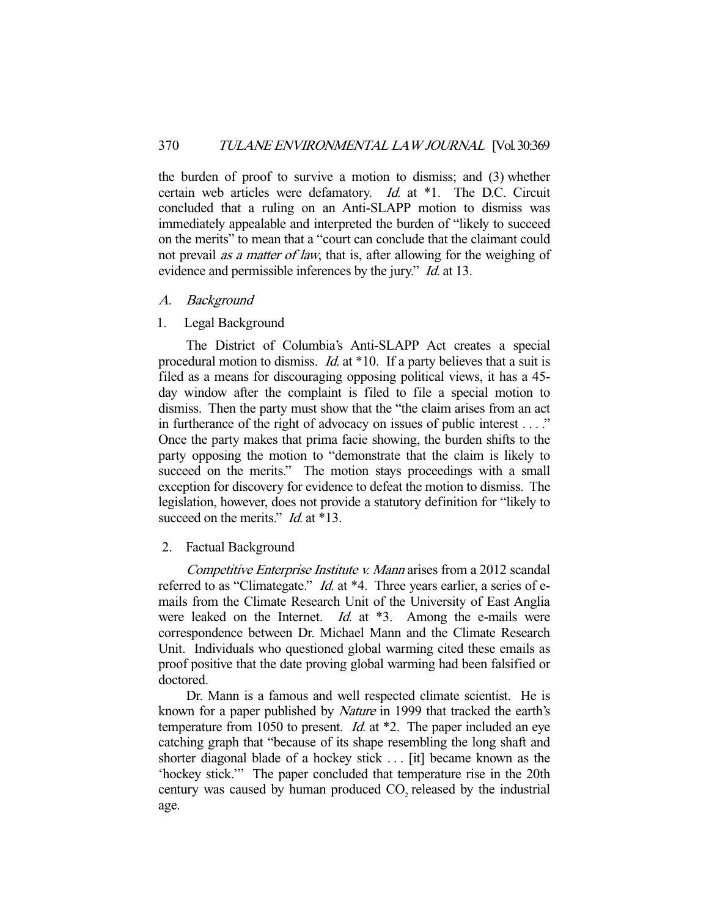the burden of proof to survive a motion to dismiss; and (3) whether certain web articles were defamatory. Id. at \*1. The D.C. Circuit concluded that a ruling on an Anti-SLAPP motion to dismiss was immediately appealable and interpreted the burden of "likely to succeed on the merits" to mean that a "court can conclude that the claimant could not prevail *as a matter of law*, that is, after allowing for the weighing of evidence and permissible inferences by the jury." *Id.* at 13.

# A. Background

## 1. Legal Background

 The District of Columbia's Anti-SLAPP Act creates a special procedural motion to dismiss. *Id.* at \*10. If a party believes that a suit is filed as a means for discouraging opposing political views, it has a 45 day window after the complaint is filed to file a special motion to dismiss. Then the party must show that the "the claim arises from an act in furtherance of the right of advocacy on issues of public interest . . . ." Once the party makes that prima facie showing, the burden shifts to the party opposing the motion to "demonstrate that the claim is likely to succeed on the merits." The motion stays proceedings with a small exception for discovery for evidence to defeat the motion to dismiss. The legislation, however, does not provide a statutory definition for "likely to succeed on the merits." *Id.* at \*13.

# 2. Factual Background

 Competitive Enterprise Institute v. Mann arises from a 2012 scandal referred to as "Climategate."  $Id$ . at  $*4$ . Three years earlier, a series of emails from the Climate Research Unit of the University of East Anglia were leaked on the Internet.  $Id.$  at  $*3$ . Among the e-mails were correspondence between Dr. Michael Mann and the Climate Research Unit. Individuals who questioned global warming cited these emails as proof positive that the date proving global warming had been falsified or doctored.

 Dr. Mann is a famous and well respected climate scientist. He is known for a paper published by Nature in 1999 that tracked the earth's temperature from 1050 to present. *Id.* at  $*2$ . The paper included an eye catching graph that "because of its shape resembling the long shaft and shorter diagonal blade of a hockey stick . . . [it] became known as the 'hockey stick.'" The paper concluded that temperature rise in the 20th century was caused by human produced CO<sub>2</sub> released by the industrial age.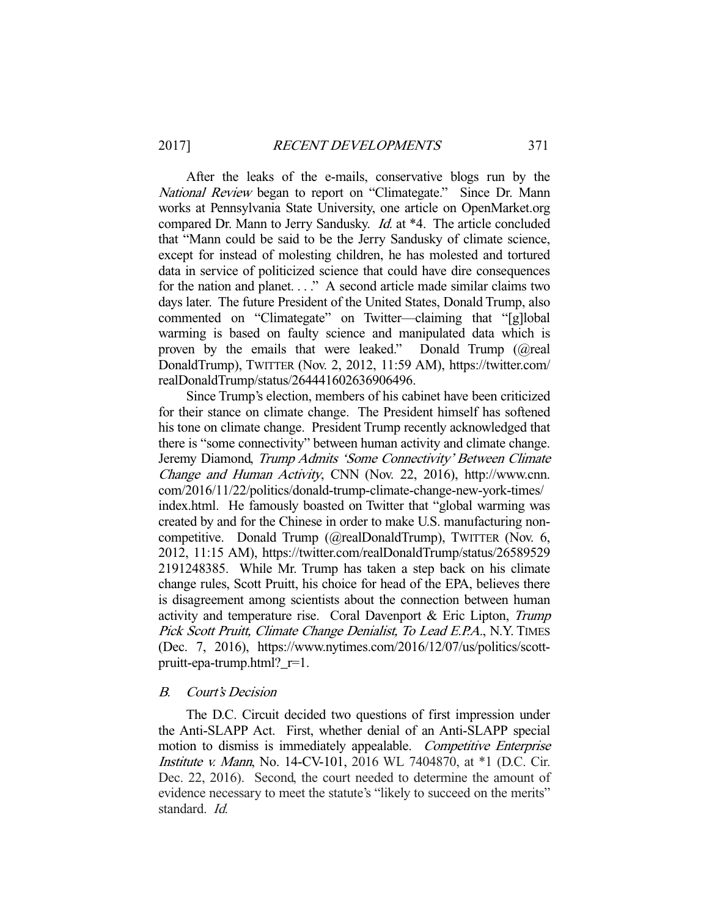After the leaks of the e-mails, conservative blogs run by the National Review began to report on "Climategate." Since Dr. Mann works at Pennsylvania State University, one article on OpenMarket.org compared Dr. Mann to Jerry Sandusky. Id. at \*4. The article concluded that "Mann could be said to be the Jerry Sandusky of climate science, except for instead of molesting children, he has molested and tortured data in service of politicized science that could have dire consequences for the nation and planet. . . ." A second article made similar claims two days later. The future President of the United States, Donald Trump, also commented on "Climategate" on Twitter—claiming that "[g]lobal warming is based on faulty science and manipulated data which is proven by the emails that were leaked." Donald Trump (@real DonaldTrump), TWITTER (Nov. 2, 2012, 11:59 AM), https://twitter.com/ realDonaldTrump/status/264441602636906496.

 Since Trump's election, members of his cabinet have been criticized for their stance on climate change. The President himself has softened his tone on climate change. President Trump recently acknowledged that there is "some connectivity" between human activity and climate change. Jeremy Diamond, Trump Admits 'Some Connectivity' Between Climate Change and Human Activity, CNN (Nov. 22, 2016), http://www.cnn. com/2016/11/22/politics/donald-trump-climate-change-new-york-times/ index.html. He famously boasted on Twitter that "global warming was created by and for the Chinese in order to make U.S. manufacturing noncompetitive. Donald Trump (@realDonaldTrump), TWITTER (Nov. 6, 2012, 11:15 AM), https://twitter.com/realDonaldTrump/status/26589529 2191248385. While Mr. Trump has taken a step back on his climate change rules, Scott Pruitt, his choice for head of the EPA, believes there is disagreement among scientists about the connection between human activity and temperature rise. Coral Davenport & Eric Lipton, Trump Pick Scott Pruitt, Climate Change Denialist, To Lead E.P.A., N.Y. TIMES (Dec. 7, 2016), https://www.nytimes.com/2016/12/07/us/politics/scottpruitt-epa-trump.html?\_r=1.

## B. Court's Decision

 The D.C. Circuit decided two questions of first impression under the Anti-SLAPP Act. First, whether denial of an Anti-SLAPP special motion to dismiss is immediately appealable. Competitive Enterprise Institute v. Mann, No. 14-CV-101, 2016 WL 7404870, at \*1 (D.C. Cir. Dec. 22, 2016). Second, the court needed to determine the amount of evidence necessary to meet the statute's "likely to succeed on the merits" standard. Id.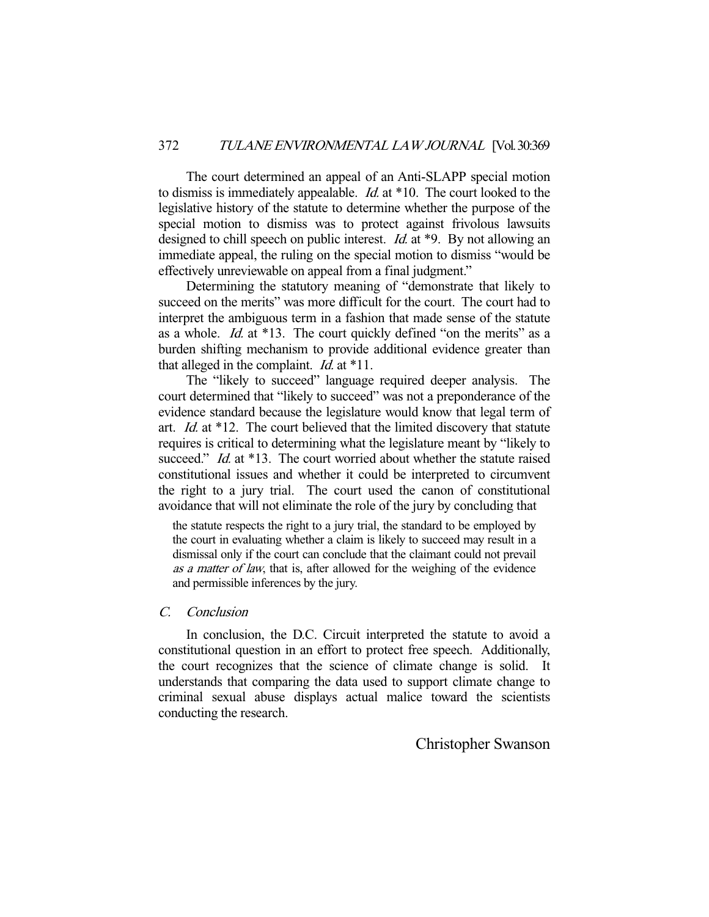The court determined an appeal of an Anti-SLAPP special motion to dismiss is immediately appealable. Id. at \*10. The court looked to the legislative history of the statute to determine whether the purpose of the special motion to dismiss was to protect against frivolous lawsuits designed to chill speech on public interest. *Id.* at \*9. By not allowing an immediate appeal, the ruling on the special motion to dismiss "would be effectively unreviewable on appeal from a final judgment."

 Determining the statutory meaning of "demonstrate that likely to succeed on the merits" was more difficult for the court. The court had to interpret the ambiguous term in a fashion that made sense of the statute as a whole. Id. at \*13. The court quickly defined "on the merits" as a burden shifting mechanism to provide additional evidence greater than that alleged in the complaint. *Id.* at  $*11$ .

 The "likely to succeed" language required deeper analysis. The court determined that "likely to succeed" was not a preponderance of the evidence standard because the legislature would know that legal term of art. Id. at \*12. The court believed that the limited discovery that statute requires is critical to determining what the legislature meant by "likely to succeed." *Id.* at \*13. The court worried about whether the statute raised constitutional issues and whether it could be interpreted to circumvent the right to a jury trial. The court used the canon of constitutional avoidance that will not eliminate the role of the jury by concluding that

the statute respects the right to a jury trial, the standard to be employed by the court in evaluating whether a claim is likely to succeed may result in a dismissal only if the court can conclude that the claimant could not prevail as a matter of law, that is, after allowed for the weighing of the evidence and permissible inferences by the jury.

# C. Conclusion

 In conclusion, the D.C. Circuit interpreted the statute to avoid a constitutional question in an effort to protect free speech. Additionally, the court recognizes that the science of climate change is solid. It understands that comparing the data used to support climate change to criminal sexual abuse displays actual malice toward the scientists conducting the research.

Christopher Swanson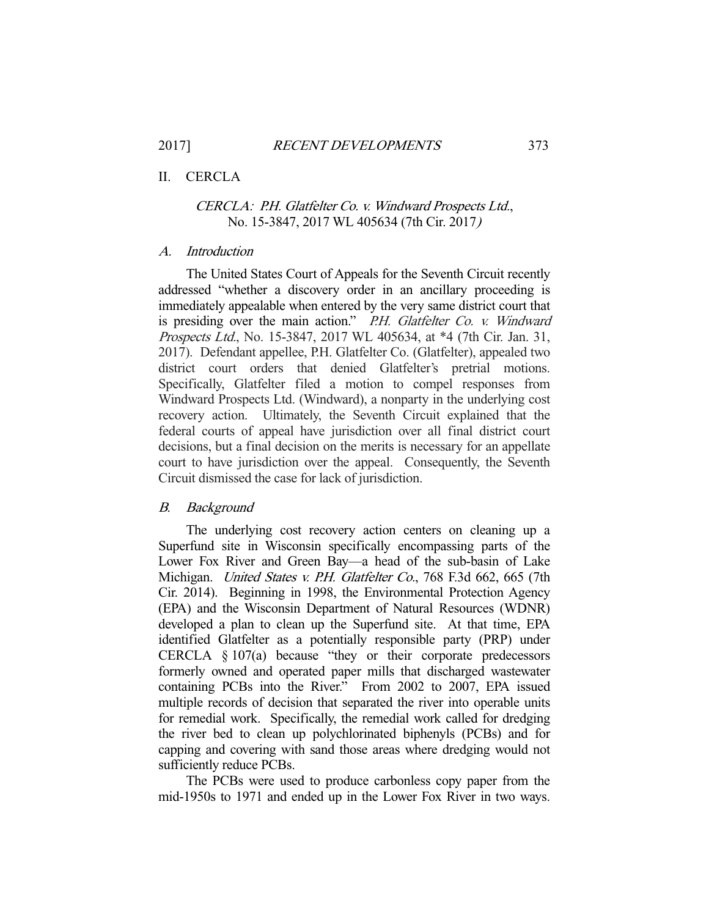# II. CERCLA

# CERCLA: P.H. Glatfelter Co. v. Windward Prospects Ltd., No. 15-3847, 2017 WL 405634 (7th Cir. 2017)

## A. Introduction

 The United States Court of Appeals for the Seventh Circuit recently addressed "whether a discovery order in an ancillary proceeding is immediately appealable when entered by the very same district court that is presiding over the main action." P.H. Glatfelter Co. v. Windward Prospects Ltd., No. 15-3847, 2017 WL 405634, at \*4 (7th Cir. Jan. 31, 2017). Defendant appellee, P.H. Glatfelter Co. (Glatfelter), appealed two district court orders that denied Glatfelter's pretrial motions. Specifically, Glatfelter filed a motion to compel responses from Windward Prospects Ltd. (Windward), a nonparty in the underlying cost recovery action. Ultimately, the Seventh Circuit explained that the federal courts of appeal have jurisdiction over all final district court decisions, but a final decision on the merits is necessary for an appellate court to have jurisdiction over the appeal. Consequently, the Seventh Circuit dismissed the case for lack of jurisdiction.

#### B. Background

 The underlying cost recovery action centers on cleaning up a Superfund site in Wisconsin specifically encompassing parts of the Lower Fox River and Green Bay—a head of the sub-basin of Lake Michigan. United States v. P.H. Glatfelter Co., 768 F.3d 662, 665 (7th Cir. 2014). Beginning in 1998, the Environmental Protection Agency (EPA) and the Wisconsin Department of Natural Resources (WDNR) developed a plan to clean up the Superfund site. At that time, EPA identified Glatfelter as a potentially responsible party (PRP) under CERCLA § 107(a) because "they or their corporate predecessors formerly owned and operated paper mills that discharged wastewater containing PCBs into the River." From 2002 to 2007, EPA issued multiple records of decision that separated the river into operable units for remedial work. Specifically, the remedial work called for dredging the river bed to clean up polychlorinated biphenyls (PCBs) and for capping and covering with sand those areas where dredging would not sufficiently reduce PCBs.

 The PCBs were used to produce carbonless copy paper from the mid-1950s to 1971 and ended up in the Lower Fox River in two ways.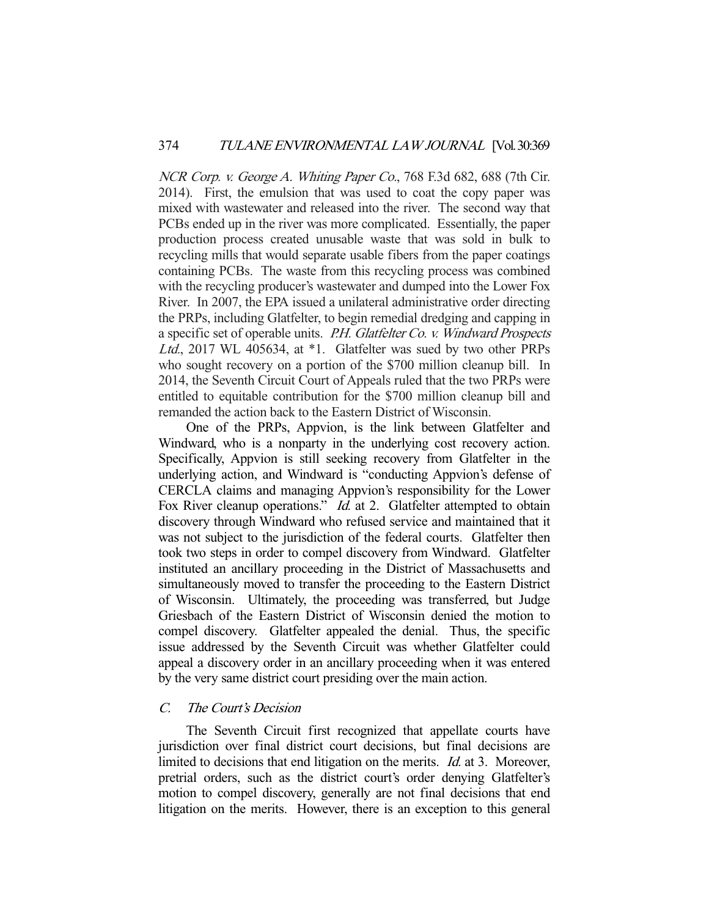NCR Corp. v. George A. Whiting Paper Co., 768 F.3d 682, 688 (7th Cir. 2014). First, the emulsion that was used to coat the copy paper was mixed with wastewater and released into the river. The second way that PCBs ended up in the river was more complicated. Essentially, the paper production process created unusable waste that was sold in bulk to recycling mills that would separate usable fibers from the paper coatings containing PCBs. The waste from this recycling process was combined with the recycling producer's wastewater and dumped into the Lower Fox River. In 2007, the EPA issued a unilateral administrative order directing the PRPs, including Glatfelter, to begin remedial dredging and capping in a specific set of operable units. P.H. Glatfelter Co. v. Windward Prospects Ltd., 2017 WL 405634, at \*1. Glatfelter was sued by two other PRPs who sought recovery on a portion of the \$700 million cleanup bill. In 2014, the Seventh Circuit Court of Appeals ruled that the two PRPs were entitled to equitable contribution for the \$700 million cleanup bill and remanded the action back to the Eastern District of Wisconsin.

 One of the PRPs, Appvion, is the link between Glatfelter and Windward, who is a nonparty in the underlying cost recovery action. Specifically, Appvion is still seeking recovery from Glatfelter in the underlying action, and Windward is "conducting Appvion's defense of CERCLA claims and managing Appvion's responsibility for the Lower Fox River cleanup operations." *Id.* at 2. Glatfelter attempted to obtain discovery through Windward who refused service and maintained that it was not subject to the jurisdiction of the federal courts. Glatfelter then took two steps in order to compel discovery from Windward. Glatfelter instituted an ancillary proceeding in the District of Massachusetts and simultaneously moved to transfer the proceeding to the Eastern District of Wisconsin. Ultimately, the proceeding was transferred, but Judge Griesbach of the Eastern District of Wisconsin denied the motion to compel discovery. Glatfelter appealed the denial. Thus, the specific issue addressed by the Seventh Circuit was whether Glatfelter could appeal a discovery order in an ancillary proceeding when it was entered by the very same district court presiding over the main action.

# C. The Court's Decision

 The Seventh Circuit first recognized that appellate courts have jurisdiction over final district court decisions, but final decisions are limited to decisions that end litigation on the merits. *Id.* at 3. Moreover, pretrial orders, such as the district court's order denying Glatfelter's motion to compel discovery, generally are not final decisions that end litigation on the merits. However, there is an exception to this general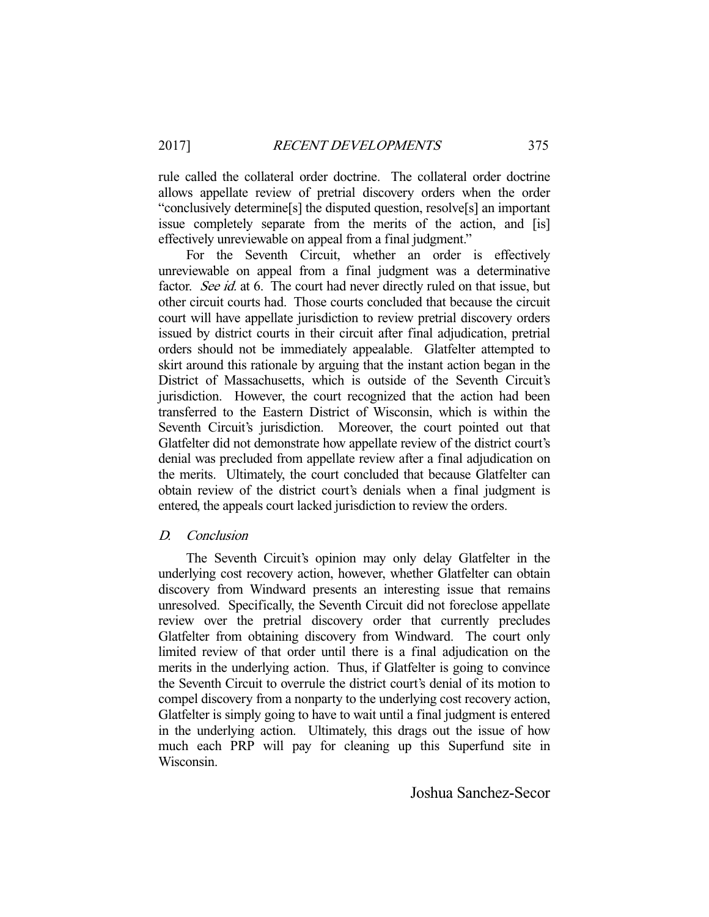rule called the collateral order doctrine. The collateral order doctrine allows appellate review of pretrial discovery orders when the order "conclusively determine[s] the disputed question, resolve[s] an important issue completely separate from the merits of the action, and [is] effectively unreviewable on appeal from a final judgment."

 For the Seventh Circuit, whether an order is effectively unreviewable on appeal from a final judgment was a determinative factor. See id. at 6. The court had never directly ruled on that issue, but other circuit courts had. Those courts concluded that because the circuit court will have appellate jurisdiction to review pretrial discovery orders issued by district courts in their circuit after final adjudication, pretrial orders should not be immediately appealable. Glatfelter attempted to skirt around this rationale by arguing that the instant action began in the District of Massachusetts, which is outside of the Seventh Circuit's jurisdiction. However, the court recognized that the action had been transferred to the Eastern District of Wisconsin, which is within the Seventh Circuit's jurisdiction. Moreover, the court pointed out that Glatfelter did not demonstrate how appellate review of the district court's denial was precluded from appellate review after a final adjudication on the merits. Ultimately, the court concluded that because Glatfelter can obtain review of the district court's denials when a final judgment is entered, the appeals court lacked jurisdiction to review the orders.

## D. Conclusion

 The Seventh Circuit's opinion may only delay Glatfelter in the underlying cost recovery action, however, whether Glatfelter can obtain discovery from Windward presents an interesting issue that remains unresolved. Specifically, the Seventh Circuit did not foreclose appellate review over the pretrial discovery order that currently precludes Glatfelter from obtaining discovery from Windward. The court only limited review of that order until there is a final adjudication on the merits in the underlying action. Thus, if Glatfelter is going to convince the Seventh Circuit to overrule the district court's denial of its motion to compel discovery from a nonparty to the underlying cost recovery action, Glatfelter is simply going to have to wait until a final judgment is entered in the underlying action. Ultimately, this drags out the issue of how much each PRP will pay for cleaning up this Superfund site in Wisconsin.

Joshua Sanchez-Secor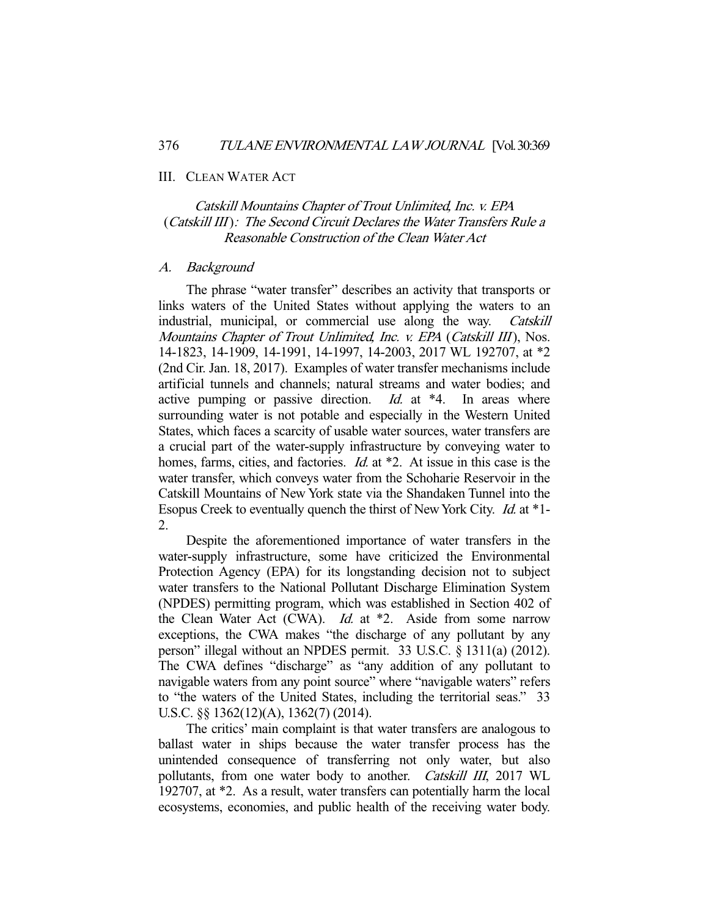#### III. CLEAN WATER ACT

# Catskill Mountains Chapter of Trout Unlimited, Inc. v. EPA (Catskill III): The Second Circuit Declares the Water Transfers Rule a Reasonable Construction of the Clean Water Act

#### A. Background

 The phrase "water transfer" describes an activity that transports or links waters of the United States without applying the waters to an industrial, municipal, or commercial use along the way. Catskill Mountains Chapter of Trout Unlimited, Inc. v. EPA (Catskill III), Nos. 14-1823, 14-1909, 14-1991, 14-1997, 14-2003, 2017 WL 192707, at \*2 (2nd Cir. Jan. 18, 2017). Examples of water transfer mechanisms include artificial tunnels and channels; natural streams and water bodies; and active pumping or passive direction. *Id.* at  $*4$ . In areas where surrounding water is not potable and especially in the Western United States, which faces a scarcity of usable water sources, water transfers are a crucial part of the water-supply infrastructure by conveying water to homes, farms, cities, and factories. *Id.* at \*2. At issue in this case is the water transfer, which conveys water from the Schoharie Reservoir in the Catskill Mountains of New York state via the Shandaken Tunnel into the Esopus Creek to eventually quench the thirst of New York City. Id. at \*1- 2.

 Despite the aforementioned importance of water transfers in the water-supply infrastructure, some have criticized the Environmental Protection Agency (EPA) for its longstanding decision not to subject water transfers to the National Pollutant Discharge Elimination System (NPDES) permitting program, which was established in Section 402 of the Clean Water Act (CWA). *Id.* at \*2. Aside from some narrow exceptions, the CWA makes "the discharge of any pollutant by any person" illegal without an NPDES permit. 33 U.S.C. § 1311(a) (2012). The CWA defines "discharge" as "any addition of any pollutant to navigable waters from any point source" where "navigable waters" refers to "the waters of the United States, including the territorial seas." 33 U.S.C. §§ 1362(12)(A), 1362(7) (2014).

 The critics' main complaint is that water transfers are analogous to ballast water in ships because the water transfer process has the unintended consequence of transferring not only water, but also pollutants, from one water body to another. Catskill III, 2017 WL 192707, at \*2. As a result, water transfers can potentially harm the local ecosystems, economies, and public health of the receiving water body.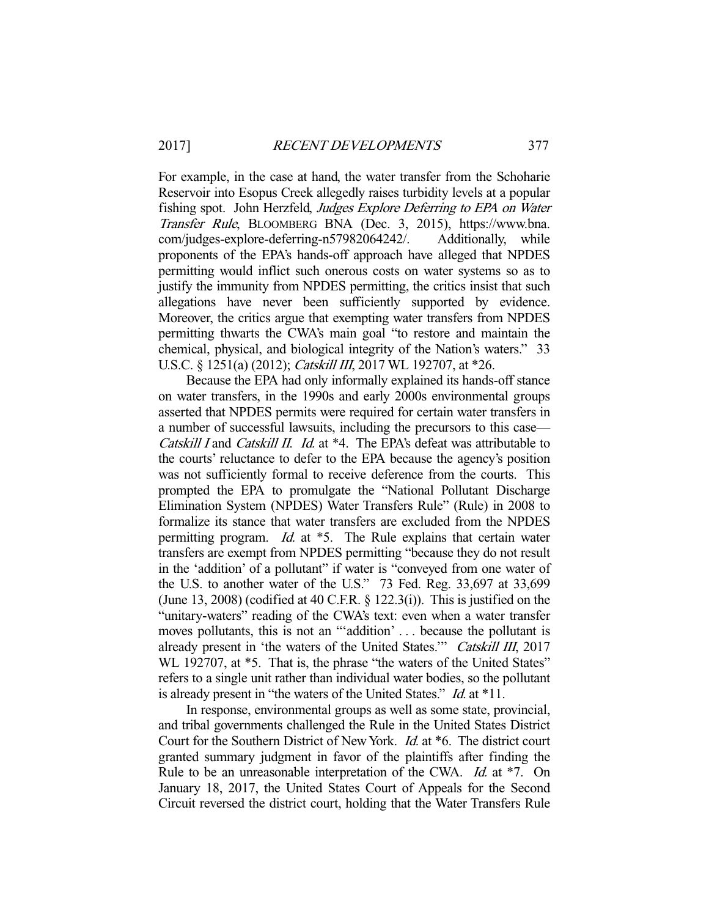For example, in the case at hand, the water transfer from the Schoharie Reservoir into Esopus Creek allegedly raises turbidity levels at a popular fishing spot. John Herzfeld, Judges Explore Deferring to EPA on Water Transfer Rule, BLOOMBERG BNA (Dec. 3, 2015), https://www.bna. com/judges-explore-deferring-n57982064242/. Additionally, while proponents of the EPA's hands-off approach have alleged that NPDES permitting would inflict such onerous costs on water systems so as to justify the immunity from NPDES permitting, the critics insist that such allegations have never been sufficiently supported by evidence. Moreover, the critics argue that exempting water transfers from NPDES permitting thwarts the CWA's main goal "to restore and maintain the chemical, physical, and biological integrity of the Nation's waters." 33 U.S.C. § 1251(a) (2012); Catskill III, 2017 WL 192707, at \*26.

 Because the EPA had only informally explained its hands-off stance on water transfers, in the 1990s and early 2000s environmental groups asserted that NPDES permits were required for certain water transfers in a number of successful lawsuits, including the precursors to this case— Catskill I and Catskill II. Id. at \*4. The EPA's defeat was attributable to the courts' reluctance to defer to the EPA because the agency's position was not sufficiently formal to receive deference from the courts. This prompted the EPA to promulgate the "National Pollutant Discharge Elimination System (NPDES) Water Transfers Rule" (Rule) in 2008 to formalize its stance that water transfers are excluded from the NPDES permitting program. Id. at \*5. The Rule explains that certain water transfers are exempt from NPDES permitting "because they do not result in the 'addition' of a pollutant" if water is "conveyed from one water of the U.S. to another water of the U.S." 73 Fed. Reg. 33,697 at 33,699 (June 13, 2008) (codified at 40 C.F.R.  $\S$  122.3(i)). This is justified on the "unitary-waters" reading of the CWA's text: even when a water transfer moves pollutants, this is not an "'addition' . . . because the pollutant is already present in 'the waters of the United States.'" Catskill III, 2017 WL 192707, at  $*5$ . That is, the phrase "the waters of the United States" refers to a single unit rather than individual water bodies, so the pollutant is already present in "the waters of the United States." Id. at \*11.

 In response, environmental groups as well as some state, provincial, and tribal governments challenged the Rule in the United States District Court for the Southern District of New York. Id. at \*6. The district court granted summary judgment in favor of the plaintiffs after finding the Rule to be an unreasonable interpretation of the CWA. *Id.* at \*7. On January 18, 2017, the United States Court of Appeals for the Second Circuit reversed the district court, holding that the Water Transfers Rule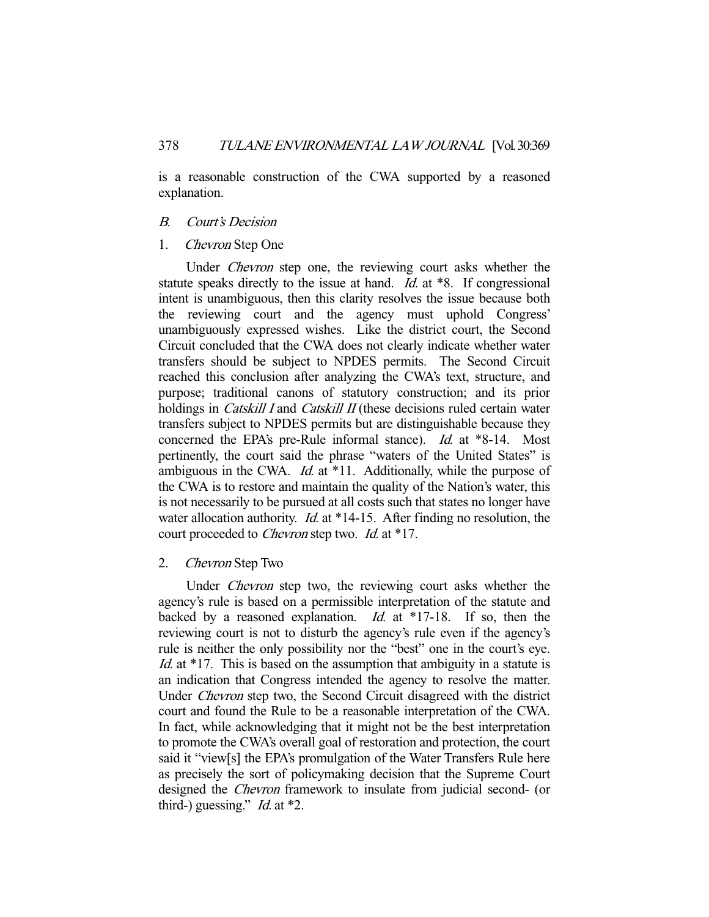is a reasonable construction of the CWA supported by a reasoned explanation.

# B. Court's Decision

#### 1. Chevron Step One

 Under Chevron step one, the reviewing court asks whether the statute speaks directly to the issue at hand. *Id.* at \*8. If congressional intent is unambiguous, then this clarity resolves the issue because both the reviewing court and the agency must uphold Congress' unambiguously expressed wishes. Like the district court, the Second Circuit concluded that the CWA does not clearly indicate whether water transfers should be subject to NPDES permits. The Second Circuit reached this conclusion after analyzing the CWA's text, structure, and purpose; traditional canons of statutory construction; and its prior holdings in *Catskill I* and *Catskill II* (these decisions ruled certain water transfers subject to NPDES permits but are distinguishable because they concerned the EPA's pre-Rule informal stance). Id. at \*8-14. Most pertinently, the court said the phrase "waters of the United States" is ambiguous in the CWA. *Id.* at \*11. Additionally, while the purpose of the CWA is to restore and maintain the quality of the Nation's water, this is not necessarily to be pursued at all costs such that states no longer have water allocation authority. *Id.* at  $*14-15$ . After finding no resolution, the court proceeded to *Chevron* step two. *Id.* at \*17.

## 2. Chevron Step Two

 Under Chevron step two, the reviewing court asks whether the agency's rule is based on a permissible interpretation of the statute and backed by a reasoned explanation. *Id.* at  $*17-18$ . If so, then the reviewing court is not to disturb the agency's rule even if the agency's rule is neither the only possibility nor the "best" one in the court's eye. Id. at  $*17$ . This is based on the assumption that ambiguity in a statute is an indication that Congress intended the agency to resolve the matter. Under Chevron step two, the Second Circuit disagreed with the district court and found the Rule to be a reasonable interpretation of the CWA. In fact, while acknowledging that it might not be the best interpretation to promote the CWA's overall goal of restoration and protection, the court said it "view[s] the EPA's promulgation of the Water Transfers Rule here as precisely the sort of policymaking decision that the Supreme Court designed the Chevron framework to insulate from judicial second- (or third-) guessing." *Id.* at  $*2$ .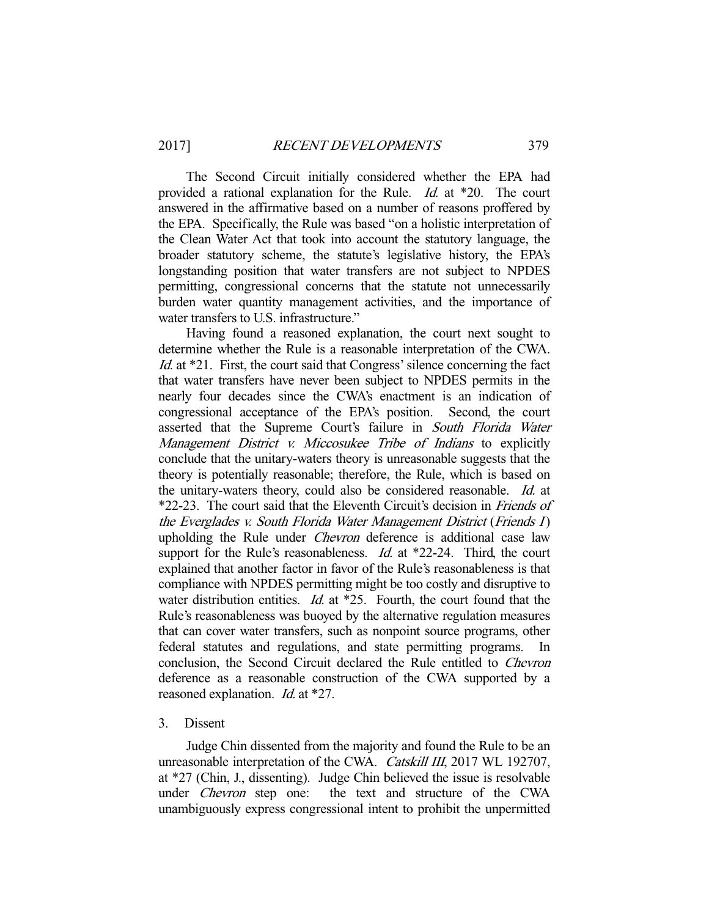The Second Circuit initially considered whether the EPA had provided a rational explanation for the Rule. Id. at \*20. The court answered in the affirmative based on a number of reasons proffered by the EPA. Specifically, the Rule was based "on a holistic interpretation of the Clean Water Act that took into account the statutory language, the broader statutory scheme, the statute's legislative history, the EPA's longstanding position that water transfers are not subject to NPDES permitting, congressional concerns that the statute not unnecessarily burden water quantity management activities, and the importance of water transfers to U.S. infrastructure."

 Having found a reasoned explanation, the court next sought to determine whether the Rule is a reasonable interpretation of the CWA. Id. at \*21. First, the court said that Congress' silence concerning the fact that water transfers have never been subject to NPDES permits in the nearly four decades since the CWA's enactment is an indication of congressional acceptance of the EPA's position. Second, the court asserted that the Supreme Court's failure in South Florida Water Management District v. Miccosukee Tribe of Indians to explicitly conclude that the unitary-waters theory is unreasonable suggests that the theory is potentially reasonable; therefore, the Rule, which is based on the unitary-waters theory, could also be considered reasonable. Id. at \*22-23. The court said that the Eleventh Circuit's decision in Friends of the Everglades v. South Florida Water Management District (Friends I) upholding the Rule under Chevron deference is additional case law support for the Rule's reasonableness. *Id.* at \*22-24. Third, the court explained that another factor in favor of the Rule's reasonableness is that compliance with NPDES permitting might be too costly and disruptive to water distribution entities.  $Id$  at  $*25$ . Fourth, the court found that the Rule's reasonableness was buoyed by the alternative regulation measures that can cover water transfers, such as nonpoint source programs, other federal statutes and regulations, and state permitting programs. In conclusion, the Second Circuit declared the Rule entitled to Chevron deference as a reasonable construction of the CWA supported by a reasoned explanation. *Id.* at \*27.

#### 3. Dissent

 Judge Chin dissented from the majority and found the Rule to be an unreasonable interpretation of the CWA. Catskill III, 2017 WL 192707, at \*27 (Chin, J., dissenting). Judge Chin believed the issue is resolvable under Chevron step one: the text and structure of the CWA unambiguously express congressional intent to prohibit the unpermitted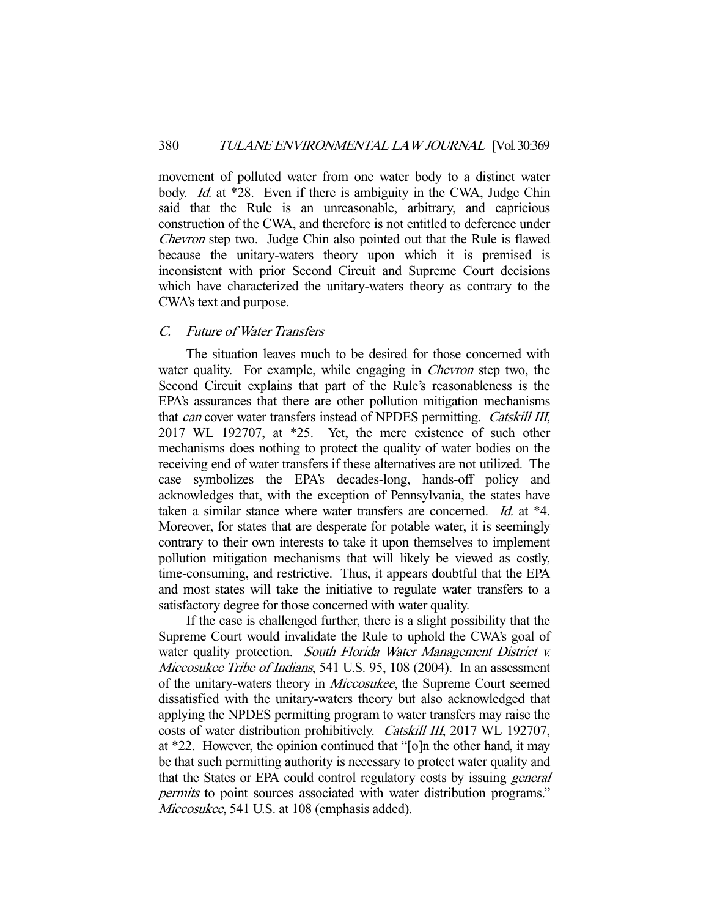movement of polluted water from one water body to a distinct water body. *Id.* at \*28. Even if there is ambiguity in the CWA, Judge Chin said that the Rule is an unreasonable, arbitrary, and capricious construction of the CWA, and therefore is not entitled to deference under Chevron step two. Judge Chin also pointed out that the Rule is flawed because the unitary-waters theory upon which it is premised is inconsistent with prior Second Circuit and Supreme Court decisions which have characterized the unitary-waters theory as contrary to the CWA's text and purpose.

# C. Future of Water Transfers

 The situation leaves much to be desired for those concerned with water quality. For example, while engaging in *Chevron* step two, the Second Circuit explains that part of the Rule's reasonableness is the EPA's assurances that there are other pollution mitigation mechanisms that can cover water transfers instead of NPDES permitting. Catskill III, 2017 WL 192707, at \*25. Yet, the mere existence of such other mechanisms does nothing to protect the quality of water bodies on the receiving end of water transfers if these alternatives are not utilized. The case symbolizes the EPA's decades-long, hands-off policy and acknowledges that, with the exception of Pennsylvania, the states have taken a similar stance where water transfers are concerned. Id. at \*4. Moreover, for states that are desperate for potable water, it is seemingly contrary to their own interests to take it upon themselves to implement pollution mitigation mechanisms that will likely be viewed as costly, time-consuming, and restrictive. Thus, it appears doubtful that the EPA and most states will take the initiative to regulate water transfers to a satisfactory degree for those concerned with water quality.

 If the case is challenged further, there is a slight possibility that the Supreme Court would invalidate the Rule to uphold the CWA's goal of water quality protection. South Florida Water Management District v. Miccosukee Tribe of Indians, 541 U.S. 95, 108 (2004). In an assessment of the unitary-waters theory in Miccosukee, the Supreme Court seemed dissatisfied with the unitary-waters theory but also acknowledged that applying the NPDES permitting program to water transfers may raise the costs of water distribution prohibitively. Catskill III, 2017 WL 192707, at \*22. However, the opinion continued that "[o]n the other hand, it may be that such permitting authority is necessary to protect water quality and that the States or EPA could control regulatory costs by issuing general permits to point sources associated with water distribution programs." Miccosukee, 541 U.S. at 108 (emphasis added).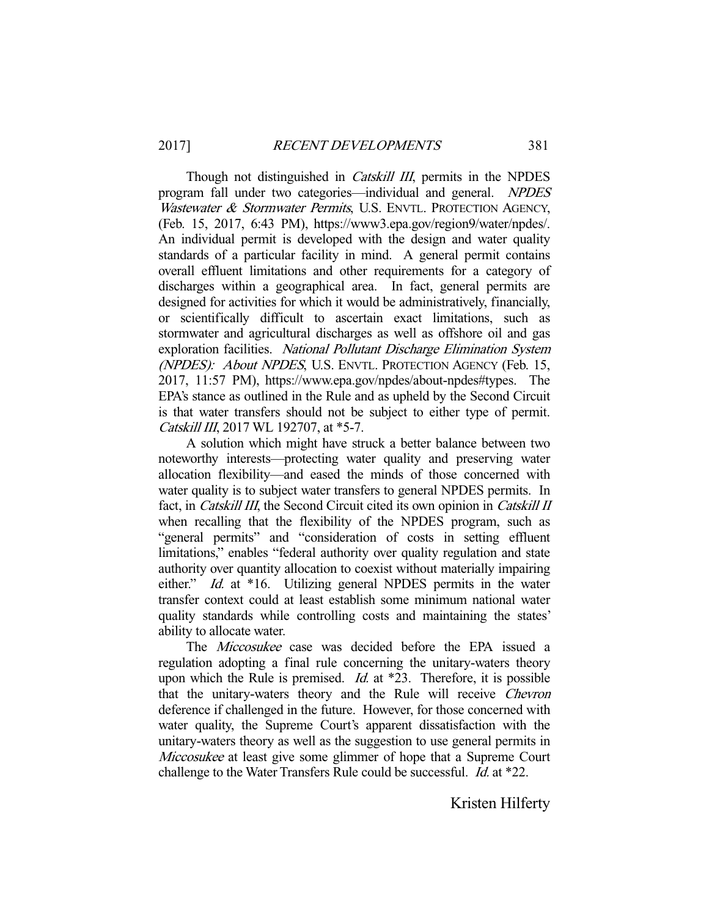Though not distinguished in *Catskill III*, permits in the NPDES program fall under two categories—individual and general. NPDES Wastewater & Stormwater Permits, U.S. ENVTL. PROTECTION AGENCY, (Feb. 15, 2017, 6:43 PM), https://www3.epa.gov/region9/water/npdes/. An individual permit is developed with the design and water quality standards of a particular facility in mind. A general permit contains overall effluent limitations and other requirements for a category of discharges within a geographical area. In fact, general permits are designed for activities for which it would be administratively, financially, or scientifically difficult to ascertain exact limitations, such as stormwater and agricultural discharges as well as offshore oil and gas exploration facilities. National Pollutant Discharge Elimination System (NPDES): About NPDES, U.S. ENVTL. PROTECTION AGENCY (Feb. 15, 2017, 11:57 PM), https://www.epa.gov/npdes/about-npdes#types. The EPA's stance as outlined in the Rule and as upheld by the Second Circuit is that water transfers should not be subject to either type of permit. Catskill III, 2017 WL 192707, at \*5-7.

 A solution which might have struck a better balance between two noteworthy interests—protecting water quality and preserving water allocation flexibility—and eased the minds of those concerned with water quality is to subject water transfers to general NPDES permits. In fact, in Catskill III, the Second Circuit cited its own opinion in Catskill II when recalling that the flexibility of the NPDES program, such as "general permits" and "consideration of costs in setting effluent limitations," enables "federal authority over quality regulation and state authority over quantity allocation to coexist without materially impairing either." *Id.* at \*16. Utilizing general NPDES permits in the water transfer context could at least establish some minimum national water quality standards while controlling costs and maintaining the states' ability to allocate water.

The *Miccosukee* case was decided before the EPA issued a regulation adopting a final rule concerning the unitary-waters theory upon which the Rule is premised.  $Id$  at \*23. Therefore, it is possible that the unitary-waters theory and the Rule will receive Chevron deference if challenged in the future. However, for those concerned with water quality, the Supreme Court's apparent dissatisfaction with the unitary-waters theory as well as the suggestion to use general permits in Miccosukee at least give some glimmer of hope that a Supreme Court challenge to the Water Transfers Rule could be successful. *Id.* at \*22.

Kristen Hilferty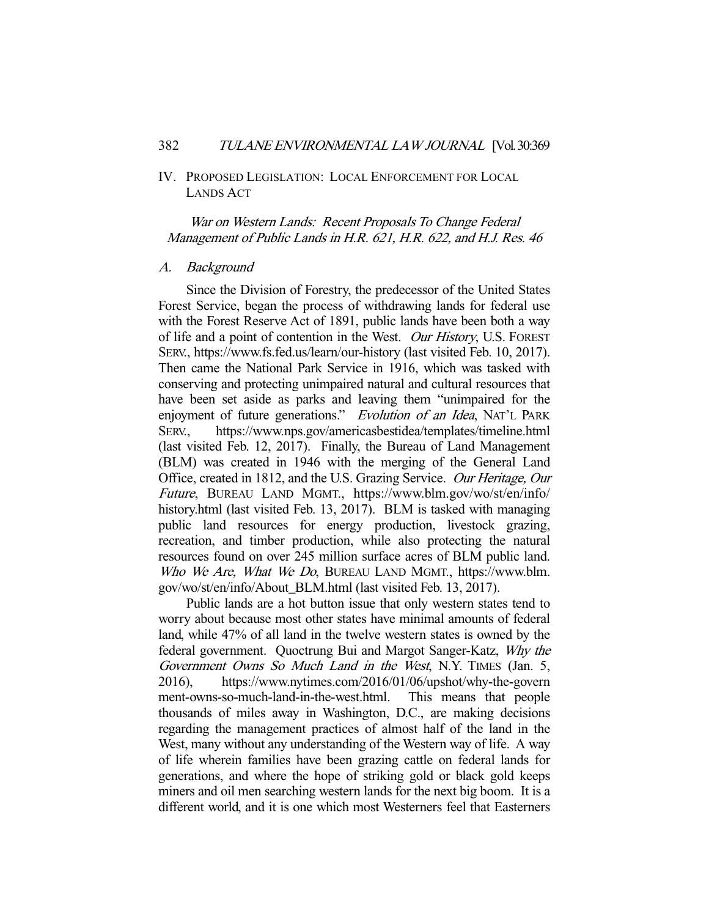# IV. PROPOSED LEGISLATION: LOCAL ENFORCEMENT FOR LOCAL LANDS ACT

War on Western Lands: Recent Proposals To Change Federal Management of Public Lands in H.R. 621, H.R. 622, and H.J. Res. 46

#### A. Background

 Since the Division of Forestry, the predecessor of the United States Forest Service, began the process of withdrawing lands for federal use with the Forest Reserve Act of 1891, public lands have been both a way of life and a point of contention in the West. Our History, U.S. FOREST SERV., https://www.fs.fed.us/learn/our-history (last visited Feb. 10, 2017). Then came the National Park Service in 1916, which was tasked with conserving and protecting unimpaired natural and cultural resources that have been set aside as parks and leaving them "unimpaired for the enjoyment of future generations." Evolution of an Idea, NAT'L PARK SERV., https://www.nps.gov/americasbestidea/templates/timeline.html (last visited Feb. 12, 2017). Finally, the Bureau of Land Management (BLM) was created in 1946 with the merging of the General Land Office, created in 1812, and the U.S. Grazing Service. Our Heritage, Our Future, BUREAU LAND MGMT., https://www.blm.gov/wo/st/en/info/ history.html (last visited Feb. 13, 2017). BLM is tasked with managing public land resources for energy production, livestock grazing, recreation, and timber production, while also protecting the natural resources found on over 245 million surface acres of BLM public land. Who We Are, What We Do, BUREAU LAND MGMT., https://www.blm. gov/wo/st/en/info/About\_BLM.html (last visited Feb. 13, 2017).

 Public lands are a hot button issue that only western states tend to worry about because most other states have minimal amounts of federal land, while 47% of all land in the twelve western states is owned by the federal government. Quoctrung Bui and Margot Sanger-Katz, Why the Government Owns So Much Land in the West, N.Y. TIMES (Jan. 5, 2016), https://www.nytimes.com/2016/01/06/upshot/why-the-govern ment-owns-so-much-land-in-the-west.html. This means that people thousands of miles away in Washington, D.C., are making decisions regarding the management practices of almost half of the land in the West, many without any understanding of the Western way of life. A way of life wherein families have been grazing cattle on federal lands for generations, and where the hope of striking gold or black gold keeps miners and oil men searching western lands for the next big boom. It is a different world, and it is one which most Westerners feel that Easterners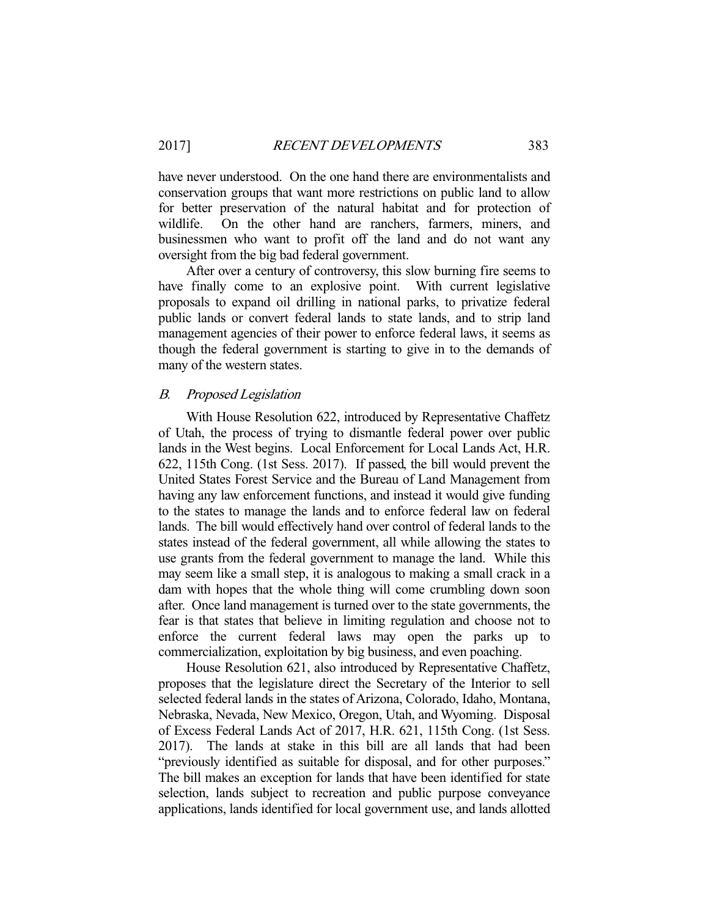have never understood. On the one hand there are environmentalists and conservation groups that want more restrictions on public land to allow for better preservation of the natural habitat and for protection of wildlife. On the other hand are ranchers, farmers, miners, and businessmen who want to profit off the land and do not want any oversight from the big bad federal government.

 After over a century of controversy, this slow burning fire seems to have finally come to an explosive point. With current legislative proposals to expand oil drilling in national parks, to privatize federal public lands or convert federal lands to state lands, and to strip land management agencies of their power to enforce federal laws, it seems as though the federal government is starting to give in to the demands of many of the western states.

# B. Proposed Legislation

 With House Resolution 622, introduced by Representative Chaffetz of Utah, the process of trying to dismantle federal power over public lands in the West begins. Local Enforcement for Local Lands Act, H.R. 622, 115th Cong. (1st Sess. 2017). If passed, the bill would prevent the United States Forest Service and the Bureau of Land Management from having any law enforcement functions, and instead it would give funding to the states to manage the lands and to enforce federal law on federal lands. The bill would effectively hand over control of federal lands to the states instead of the federal government, all while allowing the states to use grants from the federal government to manage the land. While this may seem like a small step, it is analogous to making a small crack in a dam with hopes that the whole thing will come crumbling down soon after. Once land management is turned over to the state governments, the fear is that states that believe in limiting regulation and choose not to enforce the current federal laws may open the parks up to commercialization, exploitation by big business, and even poaching.

 House Resolution 621, also introduced by Representative Chaffetz, proposes that the legislature direct the Secretary of the Interior to sell selected federal lands in the states of Arizona, Colorado, Idaho, Montana, Nebraska, Nevada, New Mexico, Oregon, Utah, and Wyoming. Disposal of Excess Federal Lands Act of 2017, H.R. 621, 115th Cong. (1st Sess. 2017). The lands at stake in this bill are all lands that had been "previously identified as suitable for disposal, and for other purposes." The bill makes an exception for lands that have been identified for state selection, lands subject to recreation and public purpose conveyance applications, lands identified for local government use, and lands allotted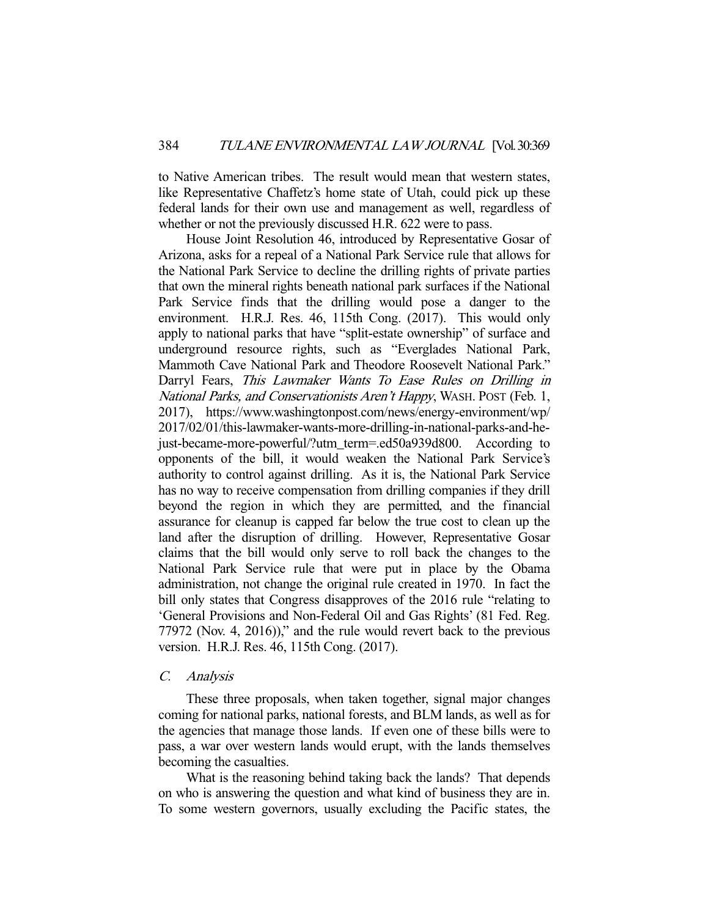to Native American tribes. The result would mean that western states, like Representative Chaffetz's home state of Utah, could pick up these federal lands for their own use and management as well, regardless of whether or not the previously discussed H.R. 622 were to pass.

 House Joint Resolution 46, introduced by Representative Gosar of Arizona, asks for a repeal of a National Park Service rule that allows for the National Park Service to decline the drilling rights of private parties that own the mineral rights beneath national park surfaces if the National Park Service finds that the drilling would pose a danger to the environment. H.R.J. Res. 46, 115th Cong. (2017). This would only apply to national parks that have "split-estate ownership" of surface and underground resource rights, such as "Everglades National Park, Mammoth Cave National Park and Theodore Roosevelt National Park." Darryl Fears, This Lawmaker Wants To Ease Rules on Drilling in National Parks, and Conservationists Aren't Happy, WASH. POST (Feb. 1, 2017), https://www.washingtonpost.com/news/energy-environment/wp/ 2017/02/01/this-lawmaker-wants-more-drilling-in-national-parks-and-hejust-became-more-powerful/?utm\_term=.ed50a939d800. According to opponents of the bill, it would weaken the National Park Service's authority to control against drilling. As it is, the National Park Service has no way to receive compensation from drilling companies if they drill beyond the region in which they are permitted, and the financial assurance for cleanup is capped far below the true cost to clean up the land after the disruption of drilling. However, Representative Gosar claims that the bill would only serve to roll back the changes to the National Park Service rule that were put in place by the Obama administration, not change the original rule created in 1970. In fact the bill only states that Congress disapproves of the 2016 rule "relating to 'General Provisions and Non-Federal Oil and Gas Rights' (81 Fed. Reg. 77972 (Nov. 4, 2016))," and the rule would revert back to the previous version. H.R.J. Res. 46, 115th Cong. (2017).

## C. Analysis

 These three proposals, when taken together, signal major changes coming for national parks, national forests, and BLM lands, as well as for the agencies that manage those lands. If even one of these bills were to pass, a war over western lands would erupt, with the lands themselves becoming the casualties.

 What is the reasoning behind taking back the lands? That depends on who is answering the question and what kind of business they are in. To some western governors, usually excluding the Pacific states, the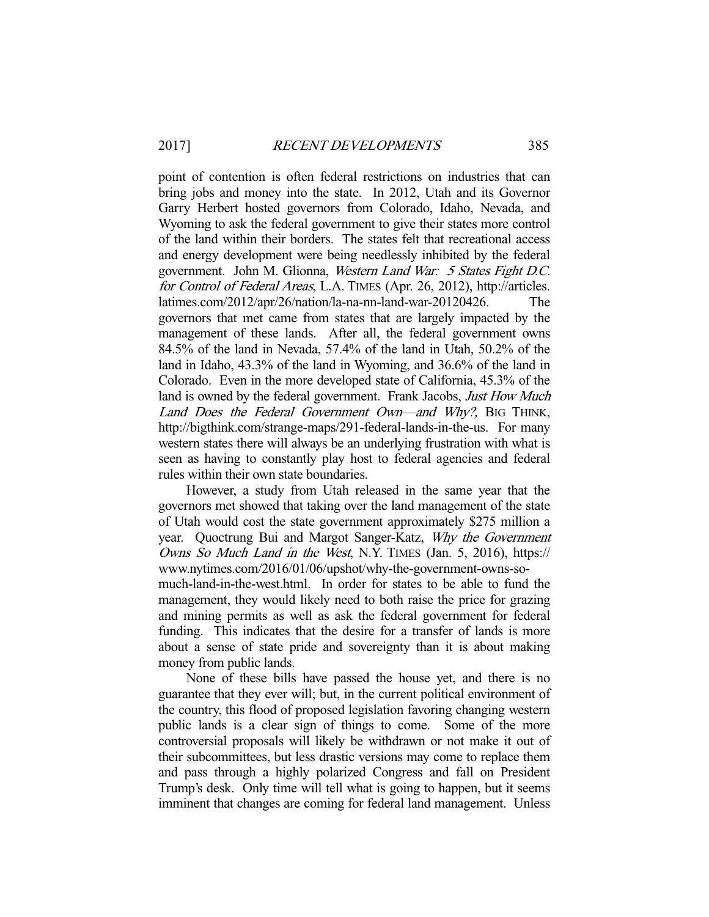point of contention is often federal restrictions on industries that can bring jobs and money into the state. In 2012, Utah and its Governor Garry Herbert hosted governors from Colorado, Idaho, Nevada, and Wyoming to ask the federal government to give their states more control of the land within their borders. The states felt that recreational access and energy development were being needlessly inhibited by the federal government. John M. Glionna, Western Land War: 5 States Fight D.C. for Control of Federal Areas, L.A. TIMES (Apr. 26, 2012), http://articles. latimes.com/2012/apr/26/nation/la-na-nn-land-war-20120426. The governors that met came from states that are largely impacted by the management of these lands. After all, the federal government owns 84.5% of the land in Nevada, 57.4% of the land in Utah, 50.2% of the land in Idaho, 43.3% of the land in Wyoming, and 36.6% of the land in Colorado. Even in the more developed state of California, 45.3% of the land is owned by the federal government. Frank Jacobs, *Just How Much* Land Does the Federal Government Own—and Why?, BIG THINK, http://bigthink.com/strange-maps/291-federal-lands-in-the-us. For many western states there will always be an underlying frustration with what is seen as having to constantly play host to federal agencies and federal rules within their own state boundaries.

 However, a study from Utah released in the same year that the governors met showed that taking over the land management of the state of Utah would cost the state government approximately \$275 million a year. Quoctrung Bui and Margot Sanger-Katz, Why the Government Owns So Much Land in the West, N.Y. TIMES (Jan. 5, 2016), https:// www.nytimes.com/2016/01/06/upshot/why-the-government-owns-somuch-land-in-the-west.html. In order for states to be able to fund the management, they would likely need to both raise the price for grazing and mining permits as well as ask the federal government for federal funding. This indicates that the desire for a transfer of lands is more about a sense of state pride and sovereignty than it is about making money from public lands.

 None of these bills have passed the house yet, and there is no guarantee that they ever will; but, in the current political environment of the country, this flood of proposed legislation favoring changing western public lands is a clear sign of things to come. Some of the more controversial proposals will likely be withdrawn or not make it out of their subcommittees, but less drastic versions may come to replace them and pass through a highly polarized Congress and fall on President Trump's desk. Only time will tell what is going to happen, but it seems imminent that changes are coming for federal land management. Unless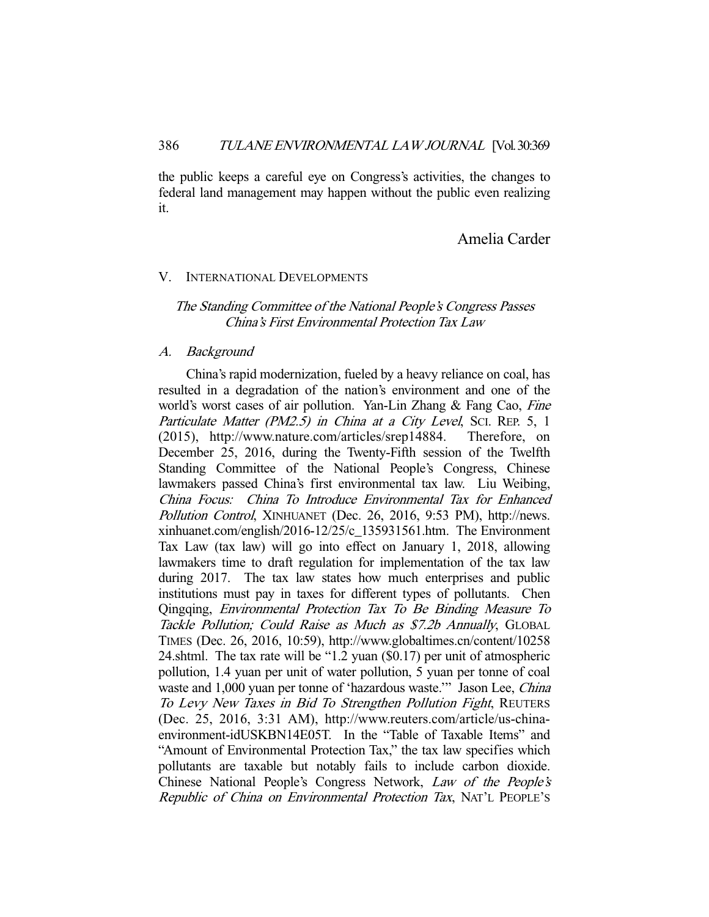the public keeps a careful eye on Congress's activities, the changes to federal land management may happen without the public even realizing it.

# Amelia Carder

# V. INTERNATIONAL DEVELOPMENTS

# The Standing Committee of the National People's Congress Passes China's First Environmental Protection Tax Law

## A. Background

 China's rapid modernization, fueled by a heavy reliance on coal, has resulted in a degradation of the nation's environment and one of the world's worst cases of air pollution. Yan-Lin Zhang & Fang Cao, Fine Particulate Matter (PM2.5) in China at a City Level, Sci. REP. 5, 1 (2015), http://www.nature.com/articles/srep14884. Therefore, on December 25, 2016, during the Twenty-Fifth session of the Twelfth Standing Committee of the National People's Congress, Chinese lawmakers passed China's first environmental tax law. Liu Weibing, China Focus: China To Introduce Environmental Tax for Enhanced Pollution Control, XINHUANET (Dec. 26, 2016, 9:53 PM), http://news. xinhuanet.com/english/2016-12/25/c\_135931561.htm. The Environment Tax Law (tax law) will go into effect on January 1, 2018, allowing lawmakers time to draft regulation for implementation of the tax law during 2017. The tax law states how much enterprises and public institutions must pay in taxes for different types of pollutants. Chen Qingqing, Environmental Protection Tax To Be Binding Measure To Tackle Pollution; Could Raise as Much as \$7.2b Annually, GLOBAL TIMES (Dec. 26, 2016, 10:59), http://www.globaltimes.cn/content/10258 24.shtml. The tax rate will be "1.2 yuan (\$0.17) per unit of atmospheric pollution, 1.4 yuan per unit of water pollution, 5 yuan per tonne of coal waste and 1,000 yuan per tonne of 'hazardous waste.'" Jason Lee, China To Levy New Taxes in Bid To Strengthen Pollution Fight, REUTERS (Dec. 25, 2016, 3:31 AM), http://www.reuters.com/article/us-chinaenvironment-idUSKBN14E05T. In the "Table of Taxable Items" and "Amount of Environmental Protection Tax," the tax law specifies which pollutants are taxable but notably fails to include carbon dioxide. Chinese National People's Congress Network, Law of the People's Republic of China on Environmental Protection Tax, NAT'L PEOPLE'S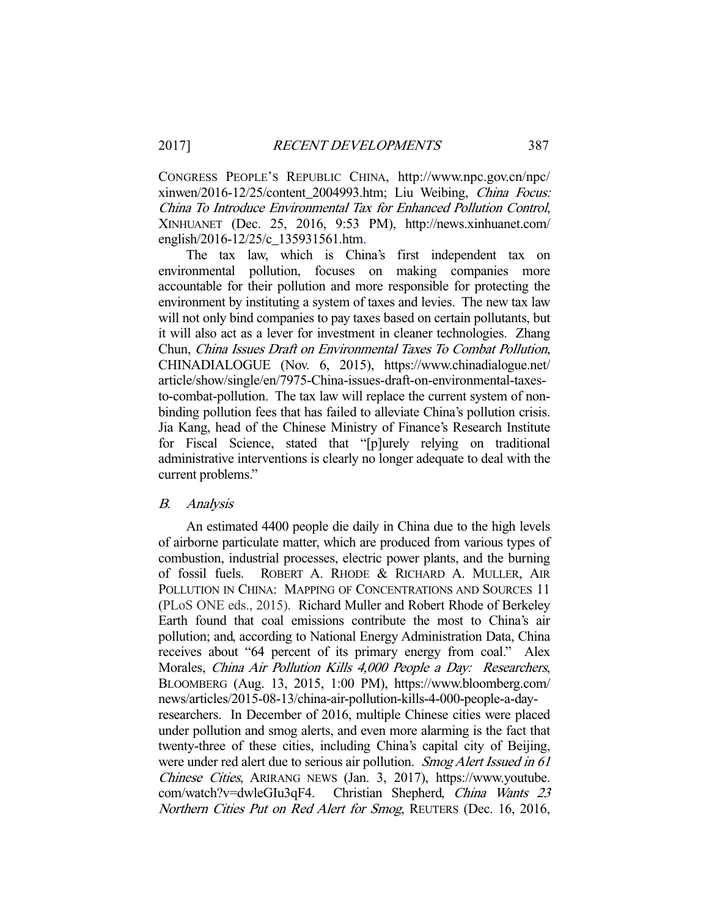CONGRESS PEOPLE'S REPUBLIC CHINA, http://www.npc.gov.cn/npc/ xinwen/2016-12/25/content\_2004993.htm; Liu Weibing, China Focus: China To Introduce Environmental Tax for Enhanced Pollution Control, XINHUANET (Dec. 25, 2016, 9:53 PM), http://news.xinhuanet.com/ english/2016-12/25/c\_135931561.htm.

 The tax law, which is China's first independent tax on environmental pollution, focuses on making companies more accountable for their pollution and more responsible for protecting the environment by instituting a system of taxes and levies. The new tax law will not only bind companies to pay taxes based on certain pollutants, but it will also act as a lever for investment in cleaner technologies. Zhang Chun, China Issues Draft on Environmental Taxes To Combat Pollution, CHINADIALOGUE (Nov. 6, 2015), https://www.chinadialogue.net/ article/show/single/en/7975-China-issues-draft-on-environmental-taxesto-combat-pollution. The tax law will replace the current system of nonbinding pollution fees that has failed to alleviate China's pollution crisis. Jia Kang, head of the Chinese Ministry of Finance's Research Institute for Fiscal Science, stated that "[p]urely relying on traditional administrative interventions is clearly no longer adequate to deal with the current problems."

## B. Analysis

 An estimated 4400 people die daily in China due to the high levels of airborne particulate matter, which are produced from various types of combustion, industrial processes, electric power plants, and the burning of fossil fuels. ROBERT A. RHODE & RICHARD A. MULLER, AIR POLLUTION IN CHINA: MAPPING OF CONCENTRATIONS AND SOURCES 11 (PLoS ONE eds., 2015). Richard Muller and Robert Rhode of Berkeley Earth found that coal emissions contribute the most to China's air pollution; and, according to National Energy Administration Data, China receives about "64 percent of its primary energy from coal." Alex Morales, China Air Pollution Kills 4,000 People a Day: Researchers, BLOOMBERG (Aug. 13, 2015, 1:00 PM), https://www.bloomberg.com/ news/articles/2015-08-13/china-air-pollution-kills-4-000-people-a-dayresearchers. In December of 2016, multiple Chinese cities were placed under pollution and smog alerts, and even more alarming is the fact that twenty-three of these cities, including China's capital city of Beijing, were under red alert due to serious air pollution. Smog Alert Issued in 61 Chinese Cities, ARIRANG NEWS (Jan. 3, 2017), https://www.youtube. com/watch?v=dwleGIu3qF4. Christian Shepherd, China Wants 23 Northern Cities Put on Red Alert for Smog, REUTERS (Dec. 16, 2016,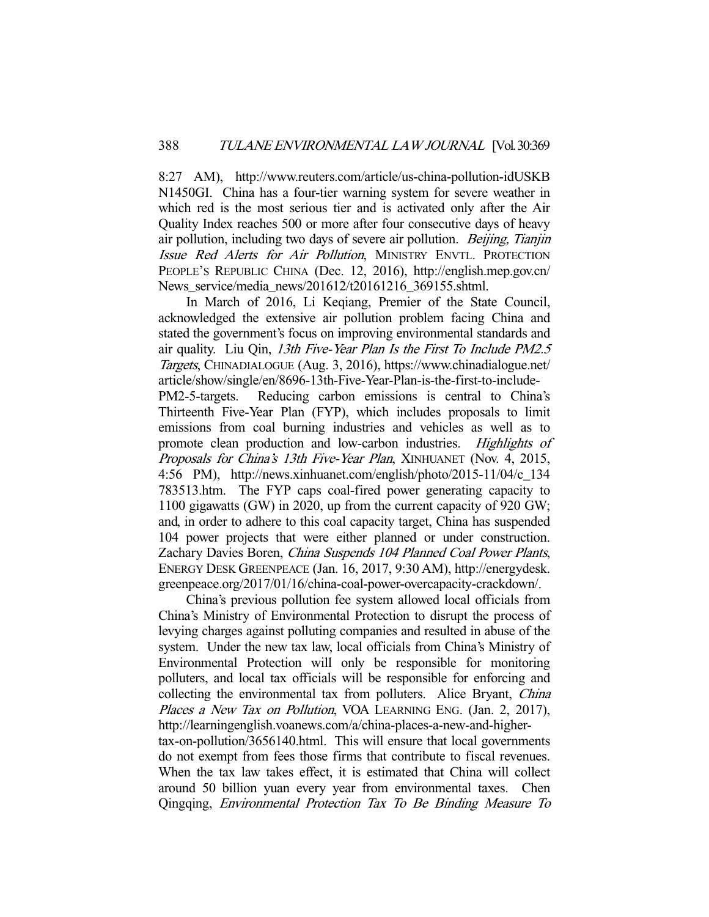8:27 AM), http://www.reuters.com/article/us-china-pollution-idUSKB N1450GI. China has a four-tier warning system for severe weather in which red is the most serious tier and is activated only after the Air Quality Index reaches 500 or more after four consecutive days of heavy air pollution, including two days of severe air pollution. *Beijing, Tianjin* Issue Red Alerts for Air Pollution, MINISTRY ENVTL. PROTECTION PEOPLE'S REPUBLIC CHINA (Dec. 12, 2016), http://english.mep.gov.cn/ News\_service/media\_news/201612/t20161216\_369155.shtml.

 In March of 2016, Li Keqiang, Premier of the State Council, acknowledged the extensive air pollution problem facing China and stated the government's focus on improving environmental standards and air quality. Liu Qin, 13th Five-Year Plan Is the First To Include PM2.5 Targets, CHINADIALOGUE (Aug. 3, 2016), https://www.chinadialogue.net/ article/show/single/en/8696-13th-Five-Year-Plan-is-the-first-to-include-Reducing carbon emissions is central to China's Thirteenth Five-Year Plan (FYP), which includes proposals to limit emissions from coal burning industries and vehicles as well as to promote clean production and low-carbon industries. Highlights of Proposals for China's 13th Five-Year Plan, XINHUANET (Nov. 4, 2015, 4:56 PM), http://news.xinhuanet.com/english/photo/2015-11/04/c\_134 783513.htm. The FYP caps coal-fired power generating capacity to 1100 gigawatts (GW) in 2020, up from the current capacity of 920 GW; and, in order to adhere to this coal capacity target, China has suspended 104 power projects that were either planned or under construction. Zachary Davies Boren, China Suspends 104 Planned Coal Power Plants, ENERGY DESK GREENPEACE (Jan. 16, 2017, 9:30 AM), http://energydesk. greenpeace.org/2017/01/16/china-coal-power-overcapacity-crackdown/.

 China's previous pollution fee system allowed local officials from China's Ministry of Environmental Protection to disrupt the process of levying charges against polluting companies and resulted in abuse of the system. Under the new tax law, local officials from China's Ministry of Environmental Protection will only be responsible for monitoring polluters, and local tax officials will be responsible for enforcing and collecting the environmental tax from polluters. Alice Bryant, China Places a New Tax on Pollution, VOA LEARNING ENG. (Jan. 2, 2017), http://learningenglish.voanews.com/a/china-places-a-new-and-highertax-on-pollution/3656140.html. This will ensure that local governments do not exempt from fees those firms that contribute to fiscal revenues. When the tax law takes effect, it is estimated that China will collect around 50 billion yuan every year from environmental taxes. Chen Qingqing, Environmental Protection Tax To Be Binding Measure To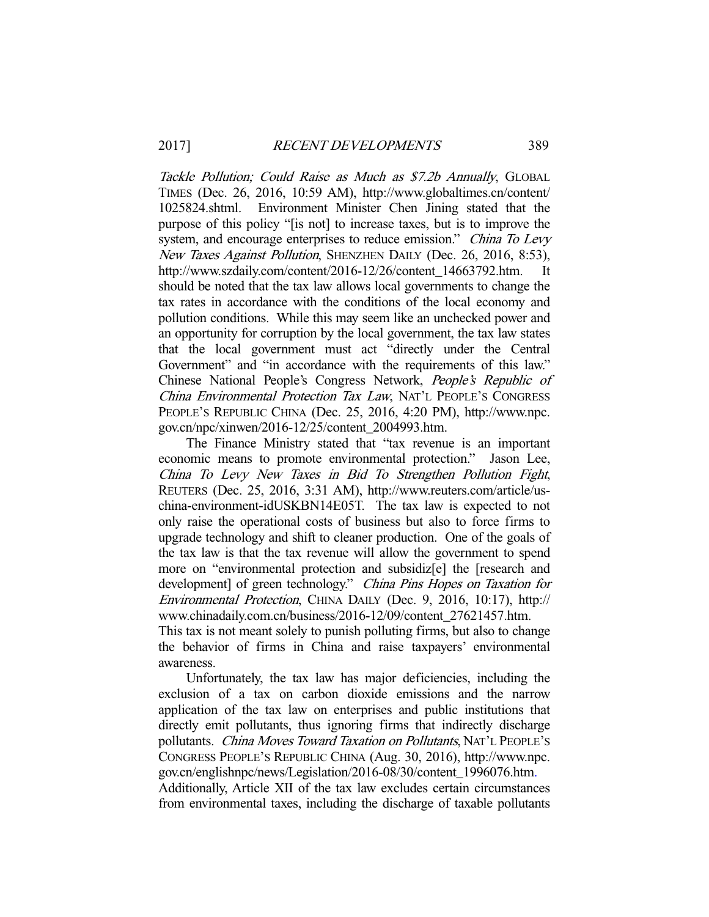awareness.

Tackle Pollution; Could Raise as Much as \$7.2b Annually, GLOBAL TIMES (Dec. 26, 2016, 10:59 AM), http://www.globaltimes.cn/content/ 1025824.shtml. Environment Minister Chen Jining stated that the purpose of this policy "[is not] to increase taxes, but is to improve the system, and encourage enterprises to reduce emission." China To Levy New Taxes Against Pollution, SHENZHEN DAILY (Dec. 26, 2016, 8:53), http://www.szdaily.com/content/2016-12/26/content\_14663792.htm. It should be noted that the tax law allows local governments to change the tax rates in accordance with the conditions of the local economy and pollution conditions. While this may seem like an unchecked power and an opportunity for corruption by the local government, the tax law states that the local government must act "directly under the Central Government" and "in accordance with the requirements of this law." Chinese National People's Congress Network, People's Republic of China Environmental Protection Tax Law, NAT'L PEOPLE'S CONGRESS PEOPLE'S REPUBLIC CHINA (Dec. 25, 2016, 4:20 PM), http://www.npc. gov.cn/npc/xinwen/2016-12/25/content\_2004993.htm.

 The Finance Ministry stated that "tax revenue is an important economic means to promote environmental protection." Jason Lee, China To Levy New Taxes in Bid To Strengthen Pollution Fight, REUTERS (Dec. 25, 2016, 3:31 AM), http://www.reuters.com/article/uschina-environment-idUSKBN14E05T. The tax law is expected to not only raise the operational costs of business but also to force firms to upgrade technology and shift to cleaner production. One of the goals of the tax law is that the tax revenue will allow the government to spend more on "environmental protection and subsidiz[e] the [research and development] of green technology." China Pins Hopes on Taxation for Environmental Protection, CHINA DAILY (Dec. 9, 2016, 10:17), http:// www.chinadaily.com.cn/business/2016-12/09/content\_27621457.htm. This tax is not meant solely to punish polluting firms, but also to change the behavior of firms in China and raise taxpayers' environmental

 Unfortunately, the tax law has major deficiencies, including the exclusion of a tax on carbon dioxide emissions and the narrow application of the tax law on enterprises and public institutions that directly emit pollutants, thus ignoring firms that indirectly discharge pollutants. China Moves Toward Taxation on Pollutants, NAT'L PEOPLE'S CONGRESS PEOPLE'S REPUBLIC CHINA (Aug. 30, 2016), http://www.npc. gov.cn/englishnpc/news/Legislation/2016-08/30/content\_1996076.htm.

Additionally, Article XII of the tax law excludes certain circumstances from environmental taxes, including the discharge of taxable pollutants